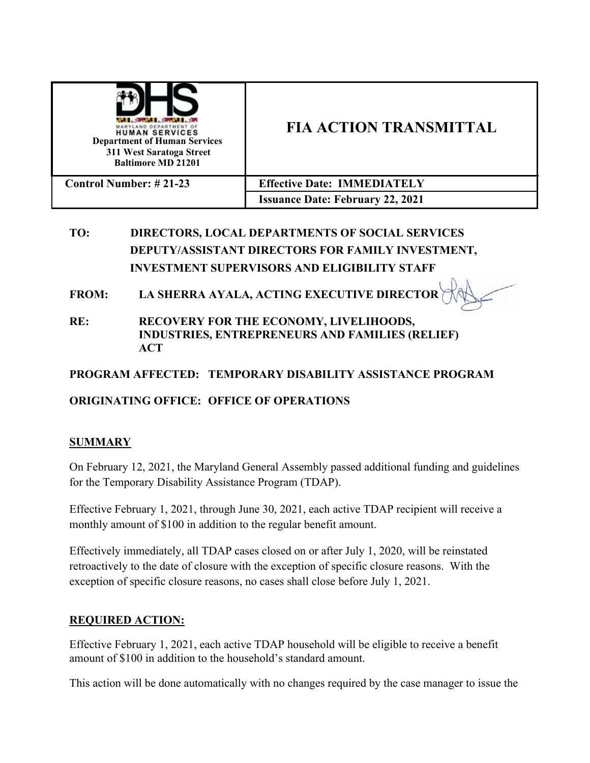| MARYLAND DEPARTMENT OF<br><b>HUMAN SERVICES</b><br><b>Department of Human Services</b><br>311 West Saratoga Street<br><b>Baltimore MD 21201</b> | <b>FIA ACTION TRANSMITTAL</b>           |
|-------------------------------------------------------------------------------------------------------------------------------------------------|-----------------------------------------|
| <b>Control Number: #21-23</b>                                                                                                                   | <b>Effective Date: IMMEDIATELY</b>      |
|                                                                                                                                                 | <b>Issuance Date: February 22, 2021</b> |

# **TO: DIRECTORS, LOCAL DEPARTMENTS OF SOCIAL SERVICES DEPUTY/ASSISTANT DIRECTORS FOR FAMILY INVESTMENT, INVESTMENT SUPERVISORS AND ELIGIBILITY STAFF**

**FROM: LA SHERRA AYALA, ACTING EXECUTIVE DIRECTOR**

**RE: RECOVERY FOR THE ECONOMY, LIVELIHOODS, INDUSTRIES, ENTREPRENEURS AND FAMILIES (RELIEF) ACT** 

## **PROGRAM AFFECTED: TEMPORARY DISABILITY ASSISTANCE PROGRAM**

## **ORIGINATING OFFICE: OFFICE OF OPERATIONS**

### **SUMMARY**

On February 12, 2021, the Maryland General Assembly passed additional funding and guidelines for the Temporary Disability Assistance Program (TDAP).

Effective February 1, 2021, through June 30, 2021, each active TDAP recipient will receive a monthly amount of \$100 in addition to the regular benefit amount.

Effectively immediately, all TDAP cases closed on or after July 1, 2020, will be reinstated retroactively to the date of closure with the exception of specific closure reasons. With the exception of specific closure reasons, no cases shall close before July 1, 2021.

### **REQUIRED ACTION:**

Effective February 1, 2021, each active TDAP household will be eligible to receive a benefit amount of \$100 in addition to the household's standard amount.

This action will be done automatically with no changes required by the case manager to issue the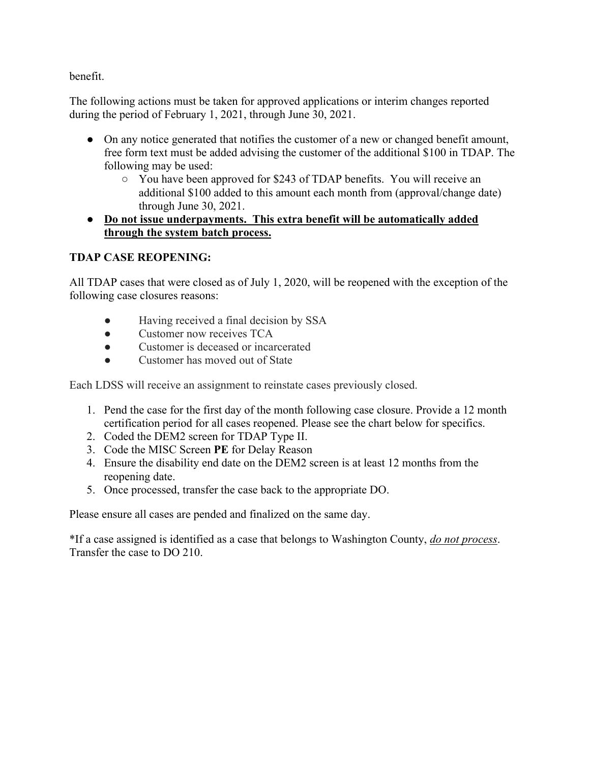benefit.

The following actions must be taken for approved applications or interim changes reported during the period of February 1, 2021, through June 30, 2021.

- On any notice generated that notifies the customer of a new or changed benefit amount, free form text must be added advising the customer of the additional \$100 in TDAP. The following may be used:
	- You have been approved for \$243 of TDAP benefits. You will receive an additional \$100 added to this amount each month from (approval/change date) through June 30, 2021.

## ● **Do not issue underpayments. This extra benefit will be automatically added through the system batch process.**

## **TDAP CASE REOPENING:**

All TDAP cases that were closed as of July 1, 2020, will be reopened with the exception of the following case closures reasons:

- Having received a final decision by SSA
- Customer now receives TCA
- Customer is deceased or incarcerated
- Customer has moved out of State

Each LDSS will receive an assignment to reinstate cases previously closed.

- 1. Pend the case for the first day of the month following case closure. Provide a 12 month certification period for all cases reopened. Please see the chart below for specifics.
- 2. Coded the DEM2 screen for TDAP Type II.
- 3. Code the MISC Screen **PE** for Delay Reason
- 4. Ensure the disability end date on the DEM2 screen is at least 12 months from the reopening date.
- 5. Once processed, transfer the case back to the appropriate DO.

Please ensure all cases are pended and finalized on the same day.

\*If a case assigned is identified as a case that belongs to Washington County, *do not process*. Transfer the case to DO 210.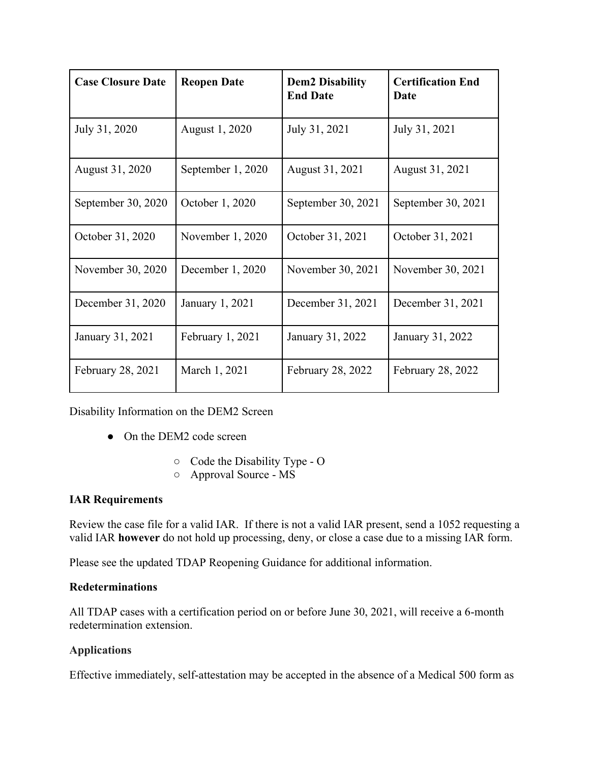| <b>Case Closure Date</b> | <b>Reopen Date</b> | <b>Dem2 Disability</b><br><b>End Date</b> | <b>Certification End</b><br>Date |
|--------------------------|--------------------|-------------------------------------------|----------------------------------|
| July 31, 2020            | August 1, 2020     | July 31, 2021                             | July 31, 2021                    |
| August 31, 2020          | September 1, 2020  | August 31, 2021                           | August 31, 2021                  |
| September 30, 2020       | October 1, 2020    | September 30, 2021                        | September 30, 2021               |
| October 31, 2020         | November 1, 2020   | October 31, 2021                          | October 31, 2021                 |
| November 30, 2020        | December 1, 2020   | November 30, 2021                         | November 30, 2021                |
| December 31, 2020        | January 1, 2021    | December 31, 2021                         | December 31, 2021                |
| January 31, 2021         | February 1, 2021   | January 31, 2022                          | January 31, 2022                 |
| February 28, 2021        | March 1, 2021      | February 28, 2022                         | <b>February 28, 2022</b>         |

Disability Information on the DEM2 Screen

- On the DEM2 code screen
	- Code the Disability Type O
	- Approval Source MS

### **IAR Requirements**

Review the case file for a valid IAR. If there is not a valid IAR present, send a 1052 requesting a valid IAR **however** do not hold up processing, deny, or close a case due to a missing IAR form.

Please see the updated TDAP Reopening Guidance for additional information.

#### **Redeterminations**

All TDAP cases with a certification period on or before June 30, 2021, will receive a 6-month redetermination extension.

### **Applications**

Effective immediately, self-attestation may be accepted in the absence of a Medical 500 form as